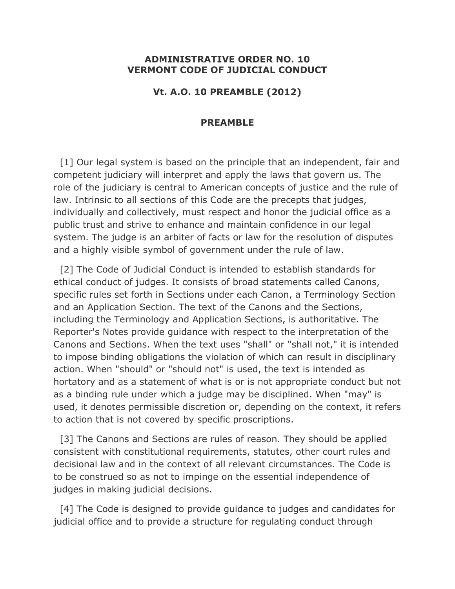#### **ADMINISTRATIVE ORDER NO. 10 VERMONT CODE OF JUDICIAL CONDUCT**

**Vt. A.O. 10 PREAMBLE (2012)**

#### **PREAMBLE**

[1] Our legal system is based on the principle that an independent, fair and competent judiciary will interpret and apply the laws that govern us. The role of the judiciary is central to American concepts of justice and the rule of law. Intrinsic to all sections of this Code are the precepts that judges, individually and collectively, must respect and honor the judicial office as a public trust and strive to enhance and maintain confidence in our legal system. The judge is an arbiter of facts or law for the resolution of disputes and a highly visible symbol of government under the rule of law.

 [2] The Code of Judicial Conduct is intended to establish standards for ethical conduct of judges. It consists of broad statements called Canons, specific rules set forth in Sections under each Canon, a Terminology Section and an Application Section. The text of the Canons and the Sections, including the Terminology and Application Sections, is authoritative. The Reporter's Notes provide guidance with respect to the interpretation of the Canons and Sections. When the text uses "shall" or "shall not," it is intended to impose binding obligations the violation of which can result in disciplinary action. When "should" or "should not" is used, the text is intended as hortatory and as a statement of what is or is not appropriate conduct but not as a binding rule under which a judge may be disciplined. When "may" is used, it denotes permissible discretion or, depending on the context, it refers to action that is not covered by specific proscriptions.

[3] The Canons and Sections are rules of reason. They should be applied consistent with constitutional requirements, statutes, other court rules and decisional law and in the context of all relevant circumstances. The Code is to be construed so as not to impinge on the essential independence of judges in making judicial decisions.

[4] The Code is designed to provide guidance to judges and candidates for judicial office and to provide a structure for regulating conduct through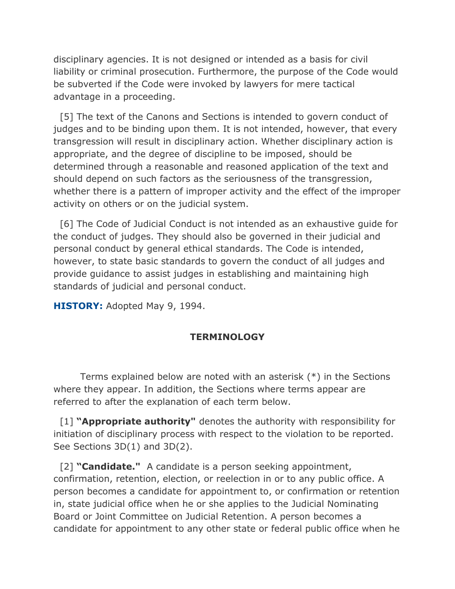disciplinary agencies. It is not designed or intended as a basis for civil liability or criminal prosecution. Furthermore, the purpose of the Code would be subverted if the Code were invoked by lawyers for mere tactical advantage in a proceeding.

 [5] The text of the Canons and Sections is intended to govern conduct of judges and to be binding upon them. It is not intended, however, that every transgression will result in disciplinary action. Whether disciplinary action is appropriate, and the degree of discipline to be imposed, should be determined through a reasonable and reasoned application of the text and should depend on such factors as the seriousness of the transgression, whether there is a pattern of improper activity and the effect of the improper activity on others or on the judicial system.

 [6] The Code of Judicial Conduct is not intended as an exhaustive guide for the conduct of judges. They should also be governed in their judicial and personal conduct by general ethical standards. The Code is intended, however, to state basic standards to govern the conduct of all judges and provide guidance to assist judges in establishing and maintaining high standards of judicial and personal conduct.

**HISTORY:** Adopted May 9, 1994.

#### **TERMINOLOGY**

Terms explained below are noted with an asterisk (\*) in the Sections where they appear. In addition, the Sections where terms appear are referred to after the explanation of each term below.

 [1] **"Appropriate authority"** denotes the authority with responsibility for initiation of disciplinary process with respect to the violation to be reported. See Sections 3D(1) and 3D(2).

 [2] **"Candidate."** A candidate is a person seeking appointment, confirmation, retention, election, or reelection in or to any public office. A person becomes a candidate for appointment to, or confirmation or retention in, state judicial office when he or she applies to the Judicial Nominating Board or Joint Committee on Judicial Retention. A person becomes a candidate for appointment to any other state or federal public office when he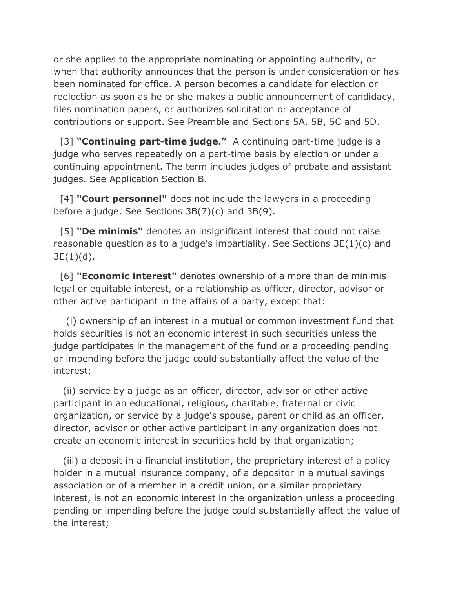or she applies to the appropriate nominating or appointing authority, or when that authority announces that the person is under consideration or has been nominated for office. A person becomes a candidate for election or reelection as soon as he or she makes a public announcement of candidacy, files nomination papers, or authorizes solicitation or acceptance of contributions or support. See Preamble and Sections 5A, 5B, 5C and 5D.

 [3] **"Continuing part-time judge."** A continuing part-time judge is a judge who serves repeatedly on a part-time basis by election or under a continuing appointment. The term includes judges of probate and assistant judges. See Application Section B.

 [4] **"Court personnel"** does not include the lawyers in a proceeding before a judge. See Sections 3B(7)(c) and 3B(9).

 [5] **"De minimis"** denotes an insignificant interest that could not raise reasonable question as to a judge's impartiality. See Sections 3E(1)(c) and  $3E(1)(d)$ .

 [6] **"Economic interest"** denotes ownership of a more than de minimis legal or equitable interest, or a relationship as officer, director, advisor or other active participant in the affairs of a party, except that:

 (i) ownership of an interest in a mutual or common investment fund that holds securities is not an economic interest in such securities unless the judge participates in the management of the fund or a proceeding pending or impending before the judge could substantially affect the value of the interest;

 (ii) service by a judge as an officer, director, advisor or other active participant in an educational, religious, charitable, fraternal or civic organization, or service by a judge's spouse, parent or child as an officer, director, advisor or other active participant in any organization does not create an economic interest in securities held by that organization;

 (iii) a deposit in a financial institution, the proprietary interest of a policy holder in a mutual insurance company, of a depositor in a mutual savings association or of a member in a credit union, or a similar proprietary interest, is not an economic interest in the organization unless a proceeding pending or impending before the judge could substantially affect the value of the interest;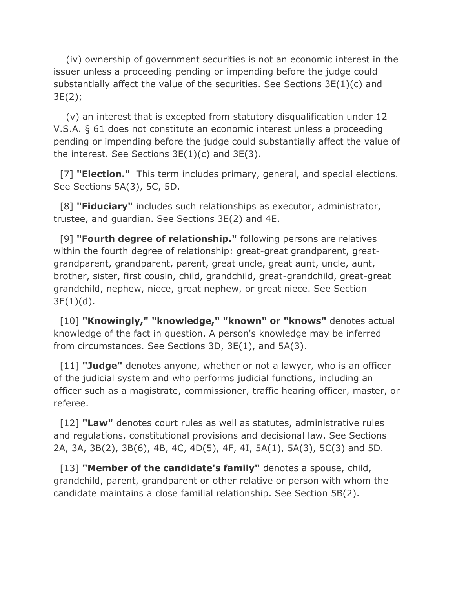(iv) ownership of government securities is not an economic interest in the issuer unless a proceeding pending or impending before the judge could substantially affect the value of the securities. See Sections 3E(1)(c) and 3E(2);

 (v) an interest that is excepted from statutory disqualification under 12 V.S.A. § 61 does not constitute an economic interest unless a proceeding pending or impending before the judge could substantially affect the value of the interest. See Sections  $3E(1)(c)$  and  $3E(3)$ .

 [7] **"Election."** This term includes primary, general, and special elections. See Sections 5A(3), 5C, 5D.

 [8] **"Fiduciary"** includes such relationships as executor, administrator, trustee, and guardian. See Sections 3E(2) and 4E.

 [9] **"Fourth degree of relationship."** following persons are relatives within the fourth degree of relationship: great-great grandparent, greatgrandparent, grandparent, parent, great uncle, great aunt, uncle, aunt, brother, sister, first cousin, child, grandchild, great-grandchild, great-great grandchild, nephew, niece, great nephew, or great niece. See Section  $3E(1)(d)$ .

 [10] **"Knowingly," "knowledge," "known" or "knows"** denotes actual knowledge of the fact in question. A person's knowledge may be inferred from circumstances. See Sections 3D, 3E(1), and 5A(3).

 [11] **"Judge"** denotes anyone, whether or not a lawyer, who is an officer of the judicial system and who performs judicial functions, including an officer such as a magistrate, commissioner, traffic hearing officer, master, or referee.

 [12] **"Law"** denotes court rules as well as statutes, administrative rules and regulations, constitutional provisions and decisional law. See Sections 2A, 3A, 3B(2), 3B(6), 4B, 4C, 4D(5), 4F, 4I, 5A(1), 5A(3), 5C(3) and 5D.

[13] **"Member of the candidate's family"** denotes a spouse, child, grandchild, parent, grandparent or other relative or person with whom the candidate maintains a close familial relationship. See Section 5B(2).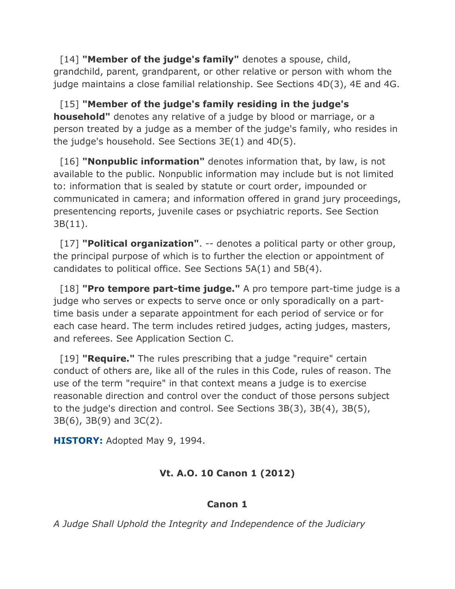[14] **"Member of the judge's family"** denotes a spouse, child, grandchild, parent, grandparent, or other relative or person with whom the judge maintains a close familial relationship. See Sections 4D(3), 4E and 4G.

 [15] **"Member of the judge's family residing in the judge's household"** denotes any relative of a judge by blood or marriage, or a person treated by a judge as a member of the judge's family, who resides in the judge's household. See Sections 3E(1) and 4D(5).

 [16] **"Nonpublic information"** denotes information that, by law, is not available to the public. Nonpublic information may include but is not limited to: information that is sealed by statute or court order, impounded or communicated in camera; and information offered in grand jury proceedings, presentencing reports, juvenile cases or psychiatric reports. See Section 3B(11).

 [17] **"Political organization"**. -- denotes a political party or other group, the principal purpose of which is to further the election or appointment of candidates to political office. See Sections 5A(1) and 5B(4).

 [18] **"Pro tempore part-time judge."** A pro tempore part-time judge is a judge who serves or expects to serve once or only sporadically on a parttime basis under a separate appointment for each period of service or for each case heard. The term includes retired judges, acting judges, masters, and referees. See Application Section C.

 [19] **"Require."** The rules prescribing that a judge "require" certain conduct of others are, like all of the rules in this Code, rules of reason. The use of the term "require" in that context means a judge is to exercise reasonable direction and control over the conduct of those persons subject to the judge's direction and control. See Sections 3B(3), 3B(4), 3B(5), 3B(6), 3B(9) and 3C(2).

**HISTORY:** Adopted May 9, 1994.

# **Vt. A.O. 10 Canon 1 (2012)**

#### **Canon 1**

*A Judge Shall Uphold the Integrity and Independence of the Judiciary*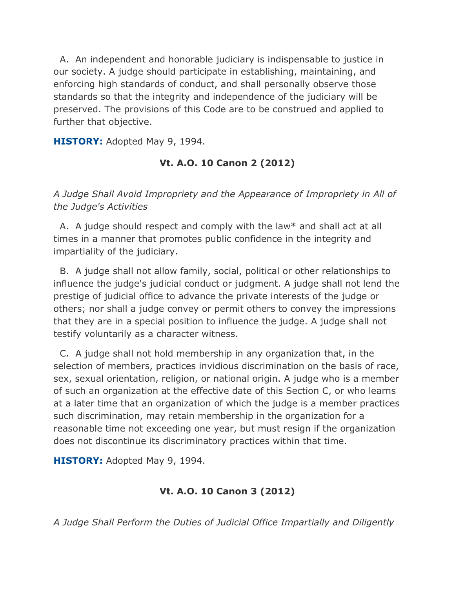A. An independent and honorable judiciary is indispensable to justice in our society. A judge should participate in establishing, maintaining, and enforcing high standards of conduct, and shall personally observe those standards so that the integrity and independence of the judiciary will be preserved. The provisions of this Code are to be construed and applied to further that objective.

**HISTORY:** Adopted May 9, 1994.

# **Vt. A.O. 10 Canon 2 (2012)**

*A Judge Shall Avoid Impropriety and the Appearance of Impropriety in All of the Judge's Activities*

 A. A judge should respect and comply with the law\* and shall act at all times in a manner that promotes public confidence in the integrity and impartiality of the judiciary.

 B. A judge shall not allow family, social, political or other relationships to influence the judge's judicial conduct or judgment. A judge shall not lend the prestige of judicial office to advance the private interests of the judge or others; nor shall a judge convey or permit others to convey the impressions that they are in a special position to influence the judge. A judge shall not testify voluntarily as a character witness.

 C. A judge shall not hold membership in any organization that, in the selection of members, practices invidious discrimination on the basis of race, sex, sexual orientation, religion, or national origin. A judge who is a member of such an organization at the effective date of this Section C, or who learns at a later time that an organization of which the judge is a member practices such discrimination, may retain membership in the organization for a reasonable time not exceeding one year, but must resign if the organization does not discontinue its discriminatory practices within that time.

**HISTORY:** Adopted May 9, 1994.

# **Vt. A.O. 10 Canon 3 (2012)**

*A Judge Shall Perform the Duties of Judicial Office Impartially and Diligently*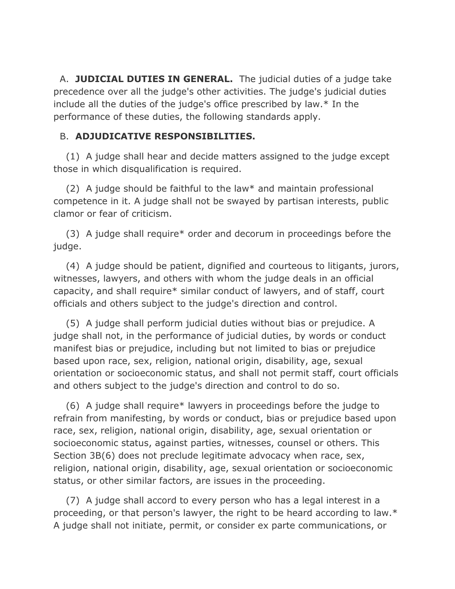A. **JUDICIAL DUTIES IN GENERAL.** The judicial duties of a judge take precedence over all the judge's other activities. The judge's judicial duties include all the duties of the judge's office prescribed by law.\* In the performance of these duties, the following standards apply.

#### B. **ADJUDICATIVE RESPONSIBILITIES.**

 (1) A judge shall hear and decide matters assigned to the judge except those in which disqualification is required.

 (2) A judge should be faithful to the law\* and maintain professional competence in it. A judge shall not be swayed by partisan interests, public clamor or fear of criticism.

 (3) A judge shall require\* order and decorum in proceedings before the judge.

 (4) A judge should be patient, dignified and courteous to litigants, jurors, witnesses, lawyers, and others with whom the judge deals in an official capacity, and shall require\* similar conduct of lawyers, and of staff, court officials and others subject to the judge's direction and control.

 (5) A judge shall perform judicial duties without bias or prejudice. A judge shall not, in the performance of judicial duties, by words or conduct manifest bias or prejudice, including but not limited to bias or prejudice based upon race, sex, religion, national origin, disability, age, sexual orientation or socioeconomic status, and shall not permit staff, court officials and others subject to the judge's direction and control to do so.

 (6) A judge shall require\* lawyers in proceedings before the judge to refrain from manifesting, by words or conduct, bias or prejudice based upon race, sex, religion, national origin, disability, age, sexual orientation or socioeconomic status, against parties, witnesses, counsel or others. This Section 3B(6) does not preclude legitimate advocacy when race, sex, religion, national origin, disability, age, sexual orientation or socioeconomic status, or other similar factors, are issues in the proceeding.

 (7) A judge shall accord to every person who has a legal interest in a proceeding, or that person's lawyer, the right to be heard according to law.\* A judge shall not initiate, permit, or consider ex parte communications, or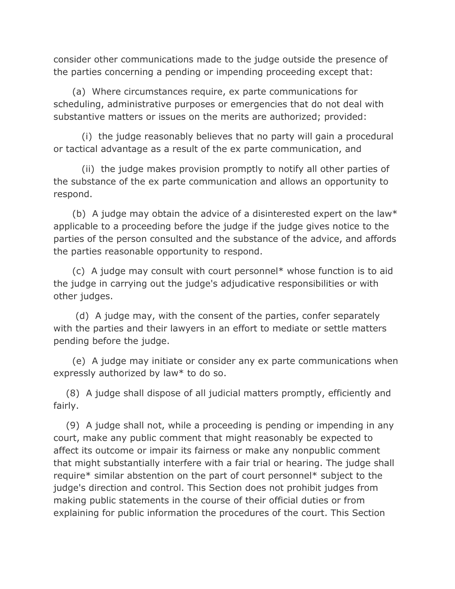consider other communications made to the judge outside the presence of the parties concerning a pending or impending proceeding except that:

 (a) Where circumstances require, ex parte communications for scheduling, administrative purposes or emergencies that do not deal with substantive matters or issues on the merits are authorized; provided:

 (i) the judge reasonably believes that no party will gain a procedural or tactical advantage as a result of the ex parte communication, and

 (ii) the judge makes provision promptly to notify all other parties of the substance of the ex parte communication and allows an opportunity to respond.

(b) A judge may obtain the advice of a disinterested expert on the law\* applicable to a proceeding before the judge if the judge gives notice to the parties of the person consulted and the substance of the advice, and affords the parties reasonable opportunity to respond.

 (c) A judge may consult with court personnel\* whose function is to aid the judge in carrying out the judge's adjudicative responsibilities or with other judges.

 (d) A judge may, with the consent of the parties, confer separately with the parties and their lawyers in an effort to mediate or settle matters pending before the judge.

 (e) A judge may initiate or consider any ex parte communications when expressly authorized by law\* to do so.

 (8) A judge shall dispose of all judicial matters promptly, efficiently and fairly.

 (9) A judge shall not, while a proceeding is pending or impending in any court, make any public comment that might reasonably be expected to affect its outcome or impair its fairness or make any nonpublic comment that might substantially interfere with a fair trial or hearing. The judge shall require\* similar abstention on the part of court personnel\* subject to the judge's direction and control. This Section does not prohibit judges from making public statements in the course of their official duties or from explaining for public information the procedures of the court. This Section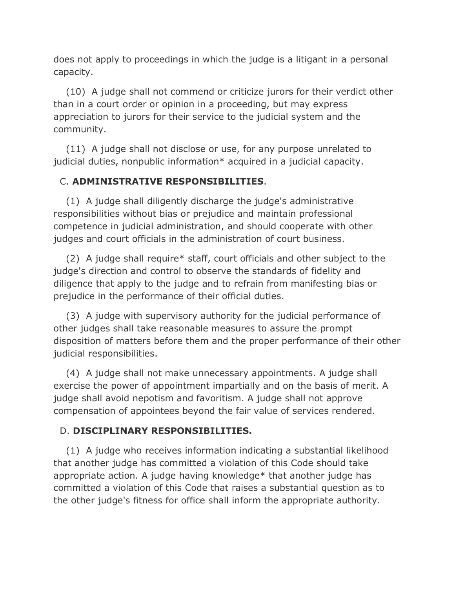does not apply to proceedings in which the judge is a litigant in a personal capacity.

 (10) A judge shall not commend or criticize jurors for their verdict other than in a court order or opinion in a proceeding, but may express appreciation to jurors for their service to the judicial system and the community.

 (11) A judge shall not disclose or use, for any purpose unrelated to judicial duties, nonpublic information\* acquired in a judicial capacity.

# C. **ADMINISTRATIVE RESPONSIBILITIES**.

 (1) A judge shall diligently discharge the judge's administrative responsibilities without bias or prejudice and maintain professional competence in judicial administration, and should cooperate with other judges and court officials in the administration of court business.

 (2) A judge shall require\* staff, court officials and other subject to the judge's direction and control to observe the standards of fidelity and diligence that apply to the judge and to refrain from manifesting bias or prejudice in the performance of their official duties.

 (3) A judge with supervisory authority for the judicial performance of other judges shall take reasonable measures to assure the prompt disposition of matters before them and the proper performance of their other judicial responsibilities.

 (4) A judge shall not make unnecessary appointments. A judge shall exercise the power of appointment impartially and on the basis of merit. A judge shall avoid nepotism and favoritism. A judge shall not approve compensation of appointees beyond the fair value of services rendered.

# D. **DISCIPLINARY RESPONSIBILITIES.**

 (1) A judge who receives information indicating a substantial likelihood that another judge has committed a violation of this Code should take appropriate action. A judge having knowledge\* that another judge has committed a violation of this Code that raises a substantial question as to the other judge's fitness for office shall inform the appropriate authority.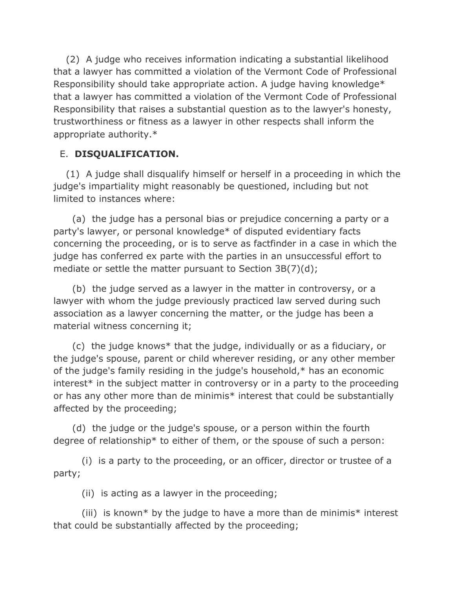(2) A judge who receives information indicating a substantial likelihood that a lawyer has committed a violation of the Vermont Code of Professional Responsibility should take appropriate action. A judge having knowledge\* that a lawyer has committed a violation of the Vermont Code of Professional Responsibility that raises a substantial question as to the lawyer's honesty, trustworthiness or fitness as a lawyer in other respects shall inform the appropriate authority.\*

# E. **DISQUALIFICATION.**

 (1) A judge shall disqualify himself or herself in a proceeding in which the judge's impartiality might reasonably be questioned, including but not limited to instances where:

 (a) the judge has a personal bias or prejudice concerning a party or a party's lawyer, or personal knowledge\* of disputed evidentiary facts concerning the proceeding, or is to serve as factfinder in a case in which the judge has conferred ex parte with the parties in an unsuccessful effort to mediate or settle the matter pursuant to Section 3B(7)(d);

 (b) the judge served as a lawyer in the matter in controversy, or a lawyer with whom the judge previously practiced law served during such association as a lawyer concerning the matter, or the judge has been a material witness concerning it;

 (c) the judge knows\* that the judge, individually or as a fiduciary, or the judge's spouse, parent or child wherever residing, or any other member of the judge's family residing in the judge's household,\* has an economic interest<sup>\*</sup> in the subject matter in controversy or in a party to the proceeding or has any other more than de minimis\* interest that could be substantially affected by the proceeding;

 (d) the judge or the judge's spouse, or a person within the fourth degree of relationship\* to either of them, or the spouse of such a person:

 (i) is a party to the proceeding, or an officer, director or trustee of a party;

(ii) is acting as a lawyer in the proceeding;

 (iii) is known\* by the judge to have a more than de minimis\* interest that could be substantially affected by the proceeding;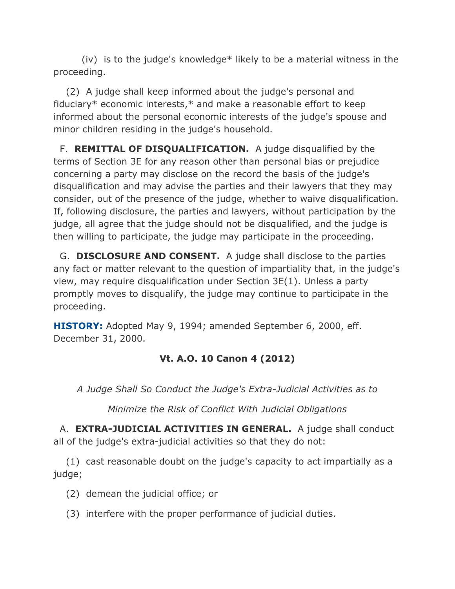(iv) is to the judge's knowledge\* likely to be a material witness in the proceeding.

 (2) A judge shall keep informed about the judge's personal and fiduciary\* economic interests,\* and make a reasonable effort to keep informed about the personal economic interests of the judge's spouse and minor children residing in the judge's household.

 F. **REMITTAL OF DISQUALIFICATION.** A judge disqualified by the terms of Section 3E for any reason other than personal bias or prejudice concerning a party may disclose on the record the basis of the judge's disqualification and may advise the parties and their lawyers that they may consider, out of the presence of the judge, whether to waive disqualification. If, following disclosure, the parties and lawyers, without participation by the judge, all agree that the judge should not be disqualified, and the judge is then willing to participate, the judge may participate in the proceeding.

 G. **DISCLOSURE AND CONSENT.** A judge shall disclose to the parties any fact or matter relevant to the question of impartiality that, in the judge's view, may require disqualification under Section 3E(1). Unless a party promptly moves to disqualify, the judge may continue to participate in the proceeding.

**HISTORY:** Adopted May 9, 1994; amended September 6, 2000, eff. December 31, 2000.

# **Vt. A.O. 10 Canon 4 (2012)**

*A Judge Shall So Conduct the Judge's Extra-Judicial Activities as to*

*Minimize the Risk of Conflict With Judicial Obligations*

 A. **EXTRA-JUDICIAL ACTIVITIES IN GENERAL.** A judge shall conduct all of the judge's extra-judicial activities so that they do not:

 (1) cast reasonable doubt on the judge's capacity to act impartially as a judge;

- (2) demean the judicial office; or
- (3) interfere with the proper performance of judicial duties.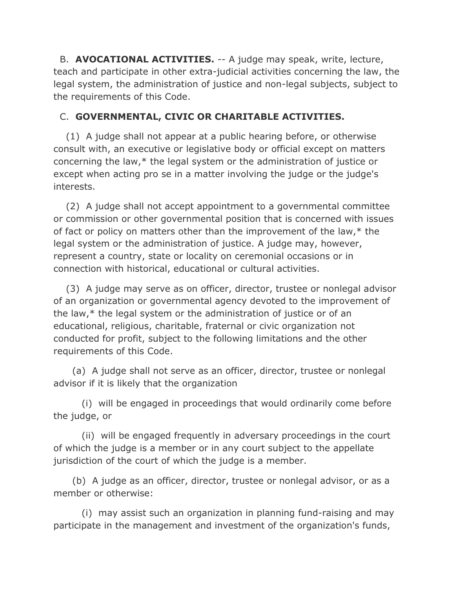B. **AVOCATIONAL ACTIVITIES.** -- A judge may speak, write, lecture, teach and participate in other extra-judicial activities concerning the law, the legal system, the administration of justice and non-legal subjects, subject to the requirements of this Code.

# C. **GOVERNMENTAL, CIVIC OR CHARITABLE ACTIVITIES.**

 (1) A judge shall not appear at a public hearing before, or otherwise consult with, an executive or legislative body or official except on matters concerning the law,\* the legal system or the administration of justice or except when acting pro se in a matter involving the judge or the judge's interests.

 (2) A judge shall not accept appointment to a governmental committee or commission or other governmental position that is concerned with issues of fact or policy on matters other than the improvement of the law,\* the legal system or the administration of justice. A judge may, however, represent a country, state or locality on ceremonial occasions or in connection with historical, educational or cultural activities.

 (3) A judge may serve as on officer, director, trustee or nonlegal advisor of an organization or governmental agency devoted to the improvement of the law,\* the legal system or the administration of justice or of an educational, religious, charitable, fraternal or civic organization not conducted for profit, subject to the following limitations and the other requirements of this Code.

 (a) A judge shall not serve as an officer, director, trustee or nonlegal advisor if it is likely that the organization

 (i) will be engaged in proceedings that would ordinarily come before the judge, or

 (ii) will be engaged frequently in adversary proceedings in the court of which the judge is a member or in any court subject to the appellate jurisdiction of the court of which the judge is a member.

 (b) A judge as an officer, director, trustee or nonlegal advisor, or as a member or otherwise:

 (i) may assist such an organization in planning fund-raising and may participate in the management and investment of the organization's funds,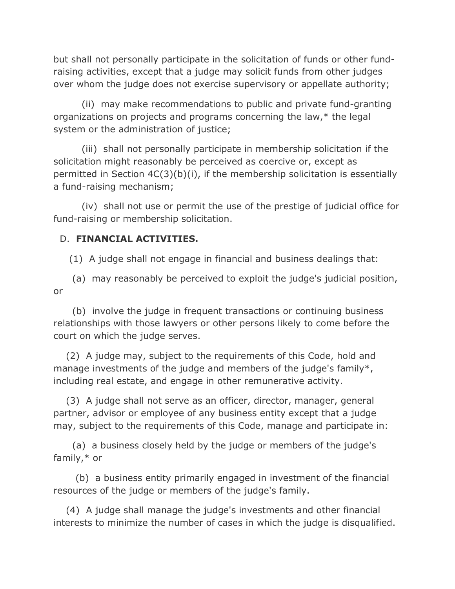but shall not personally participate in the solicitation of funds or other fundraising activities, except that a judge may solicit funds from other judges over whom the judge does not exercise supervisory or appellate authority;

 (ii) may make recommendations to public and private fund-granting organizations on projects and programs concerning the law,\* the legal system or the administration of justice;

 (iii) shall not personally participate in membership solicitation if the solicitation might reasonably be perceived as coercive or, except as permitted in Section 4C(3)(b)(i), if the membership solicitation is essentially a fund-raising mechanism;

 (iv) shall not use or permit the use of the prestige of judicial office for fund-raising or membership solicitation.

#### D. **FINANCIAL ACTIVITIES.**

(1) A judge shall not engage in financial and business dealings that:

 (a) may reasonably be perceived to exploit the judge's judicial position, or

 (b) involve the judge in frequent transactions or continuing business relationships with those lawyers or other persons likely to come before the court on which the judge serves.

 (2) A judge may, subject to the requirements of this Code, hold and manage investments of the judge and members of the judge's family\*, including real estate, and engage in other remunerative activity.

 (3) A judge shall not serve as an officer, director, manager, general partner, advisor or employee of any business entity except that a judge may, subject to the requirements of this Code, manage and participate in:

 (a) a business closely held by the judge or members of the judge's family,\* or

 (b) a business entity primarily engaged in investment of the financial resources of the judge or members of the judge's family.

 (4) A judge shall manage the judge's investments and other financial interests to minimize the number of cases in which the judge is disqualified.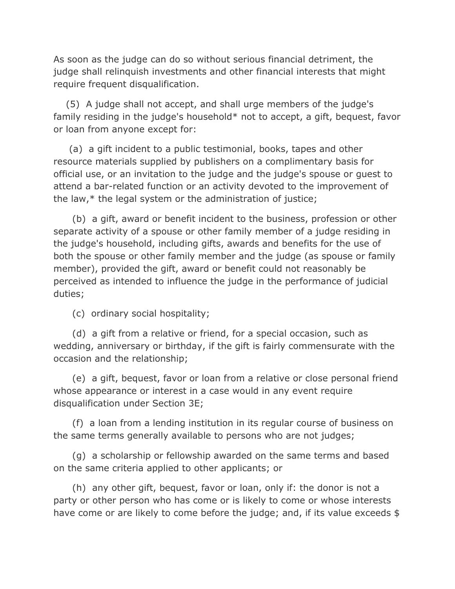As soon as the judge can do so without serious financial detriment, the judge shall relinquish investments and other financial interests that might require frequent disqualification.

 (5) A judge shall not accept, and shall urge members of the judge's family residing in the judge's household\* not to accept, a gift, bequest, favor or loan from anyone except for:

 (a) a gift incident to a public testimonial, books, tapes and other resource materials supplied by publishers on a complimentary basis for official use, or an invitation to the judge and the judge's spouse or guest to attend a bar-related function or an activity devoted to the improvement of the law,\* the legal system or the administration of justice;

 (b) a gift, award or benefit incident to the business, profession or other separate activity of a spouse or other family member of a judge residing in the judge's household, including gifts, awards and benefits for the use of both the spouse or other family member and the judge (as spouse or family member), provided the gift, award or benefit could not reasonably be perceived as intended to influence the judge in the performance of judicial duties;

(c) ordinary social hospitality;

 (d) a gift from a relative or friend, for a special occasion, such as wedding, anniversary or birthday, if the gift is fairly commensurate with the occasion and the relationship;

 (e) a gift, bequest, favor or loan from a relative or close personal friend whose appearance or interest in a case would in any event require disqualification under Section 3E;

 (f) a loan from a lending institution in its regular course of business on the same terms generally available to persons who are not judges;

 (g) a scholarship or fellowship awarded on the same terms and based on the same criteria applied to other applicants; or

 (h) any other gift, bequest, favor or loan, only if: the donor is not a party or other person who has come or is likely to come or whose interests have come or are likely to come before the judge; and, if its value exceeds \$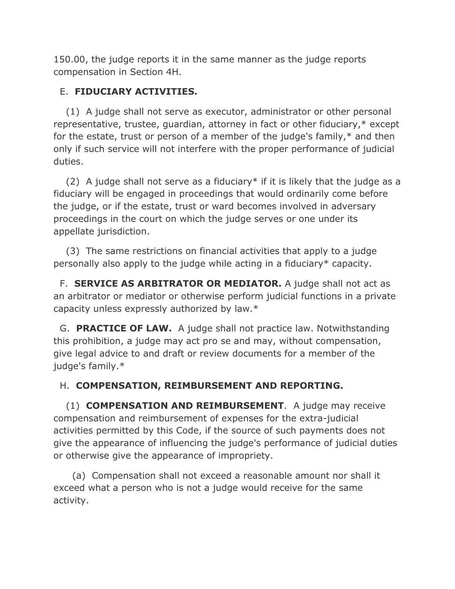150.00, the judge reports it in the same manner as the judge reports compensation in Section 4H.

#### E. **FIDUCIARY ACTIVITIES.**

 (1) A judge shall not serve as executor, administrator or other personal representative, trustee, guardian, attorney in fact or other fiduciary,\* except for the estate, trust or person of a member of the judge's family,\* and then only if such service will not interfere with the proper performance of judicial duties.

(2) A judge shall not serve as a fiduciary\* if it is likely that the judge as a fiduciary will be engaged in proceedings that would ordinarily come before the judge, or if the estate, trust or ward becomes involved in adversary proceedings in the court on which the judge serves or one under its appellate jurisdiction.

 (3) The same restrictions on financial activities that apply to a judge personally also apply to the judge while acting in a fiduciary\* capacity.

 F. **SERVICE AS ARBITRATOR OR MEDIATOR.** A judge shall not act as an arbitrator or mediator or otherwise perform judicial functions in a private capacity unless expressly authorized by law.\*

 G. **PRACTICE OF LAW.** A judge shall not practice law. Notwithstanding this prohibition, a judge may act pro se and may, without compensation, give legal advice to and draft or review documents for a member of the judge's family.\*

# H. **COMPENSATION, REIMBURSEMENT AND REPORTING.**

 (1) **COMPENSATION AND REIMBURSEMENT**. A judge may receive compensation and reimbursement of expenses for the extra-judicial activities permitted by this Code, if the source of such payments does not give the appearance of influencing the judge's performance of judicial duties or otherwise give the appearance of impropriety.

 (a) Compensation shall not exceed a reasonable amount nor shall it exceed what a person who is not a judge would receive for the same activity.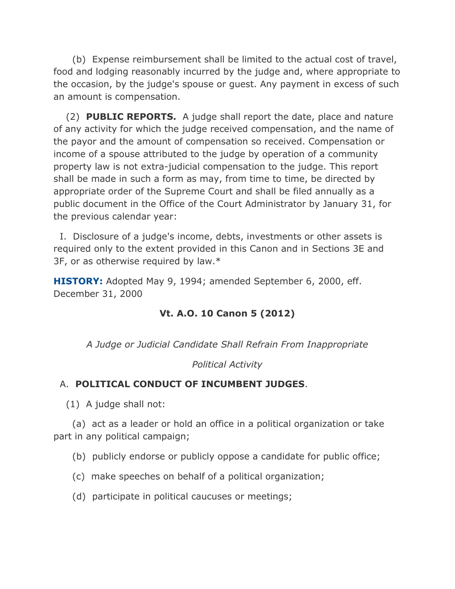(b) Expense reimbursement shall be limited to the actual cost of travel, food and lodging reasonably incurred by the judge and, where appropriate to the occasion, by the judge's spouse or guest. Any payment in excess of such an amount is compensation.

 (2) **PUBLIC REPORTS.** A judge shall report the date, place and nature of any activity for which the judge received compensation, and the name of the payor and the amount of compensation so received. Compensation or income of a spouse attributed to the judge by operation of a community property law is not extra-judicial compensation to the judge. This report shall be made in such a form as may, from time to time, be directed by appropriate order of the Supreme Court and shall be filed annually as a public document in the Office of the Court Administrator by January 31, for the previous calendar year:

 I. Disclosure of a judge's income, debts, investments or other assets is required only to the extent provided in this Canon and in Sections 3E and 3F, or as otherwise required by law.\*

**HISTORY:** Adopted May 9, 1994; amended September 6, 2000, eff. December 31, 2000

# **Vt. A.O. 10 Canon 5 (2012)**

*A Judge or Judicial Candidate Shall Refrain From Inappropriate*

#### *Political Activity*

#### A. **POLITICAL CONDUCT OF INCUMBENT JUDGES**.

(1) A judge shall not:

 (a) act as a leader or hold an office in a political organization or take part in any political campaign;

- (b) publicly endorse or publicly oppose a candidate for public office;
- (c) make speeches on behalf of a political organization;
- (d) participate in political caucuses or meetings;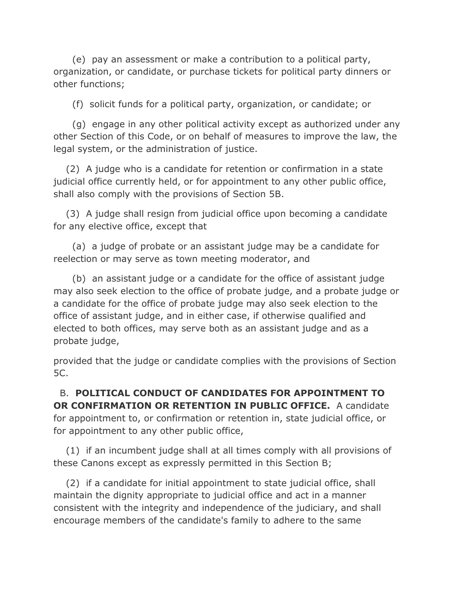(e) pay an assessment or make a contribution to a political party, organization, or candidate, or purchase tickets for political party dinners or other functions;

(f) solicit funds for a political party, organization, or candidate; or

 (g) engage in any other political activity except as authorized under any other Section of this Code, or on behalf of measures to improve the law, the legal system, or the administration of justice.

 (2) A judge who is a candidate for retention or confirmation in a state judicial office currently held, or for appointment to any other public office, shall also comply with the provisions of Section 5B.

 (3) A judge shall resign from judicial office upon becoming a candidate for any elective office, except that

 (a) a judge of probate or an assistant judge may be a candidate for reelection or may serve as town meeting moderator, and

 (b) an assistant judge or a candidate for the office of assistant judge may also seek election to the office of probate judge, and a probate judge or a candidate for the office of probate judge may also seek election to the office of assistant judge, and in either case, if otherwise qualified and elected to both offices, may serve both as an assistant judge and as a probate judge,

provided that the judge or candidate complies with the provisions of Section 5C.

 B. **POLITICAL CONDUCT OF CANDIDATES FOR APPOINTMENT TO OR CONFIRMATION OR RETENTION IN PUBLIC OFFICE.** A candidate for appointment to, or confirmation or retention in, state judicial office, or for appointment to any other public office,

 (1) if an incumbent judge shall at all times comply with all provisions of these Canons except as expressly permitted in this Section B;

 (2) if a candidate for initial appointment to state judicial office, shall maintain the dignity appropriate to judicial office and act in a manner consistent with the integrity and independence of the judiciary, and shall encourage members of the candidate's family to adhere to the same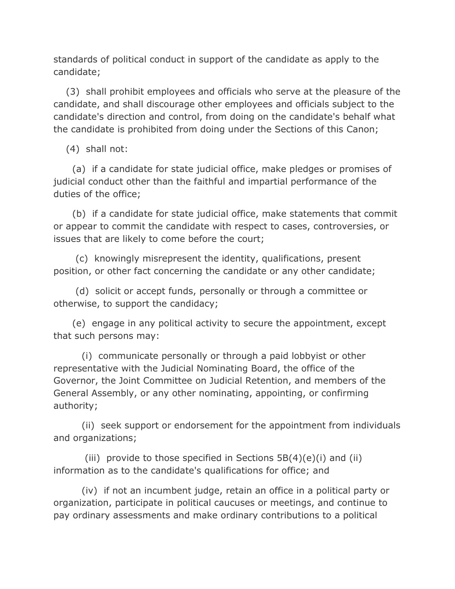standards of political conduct in support of the candidate as apply to the candidate;

 (3) shall prohibit employees and officials who serve at the pleasure of the candidate, and shall discourage other employees and officials subject to the candidate's direction and control, from doing on the candidate's behalf what the candidate is prohibited from doing under the Sections of this Canon;

(4) shall not:

 (a) if a candidate for state judicial office, make pledges or promises of judicial conduct other than the faithful and impartial performance of the duties of the office;

 (b) if a candidate for state judicial office, make statements that commit or appear to commit the candidate with respect to cases, controversies, or issues that are likely to come before the court;

 (c) knowingly misrepresent the identity, qualifications, present position, or other fact concerning the candidate or any other candidate;

 (d) solicit or accept funds, personally or through a committee or otherwise, to support the candidacy;

 (e) engage in any political activity to secure the appointment, except that such persons may:

 (i) communicate personally or through a paid lobbyist or other representative with the Judicial Nominating Board, the office of the Governor, the Joint Committee on Judicial Retention, and members of the General Assembly, or any other nominating, appointing, or confirming authority;

 (ii) seek support or endorsement for the appointment from individuals and organizations;

(iii) provide to those specified in Sections  $5B(4)(e)(i)$  and (ii) information as to the candidate's qualifications for office; and

 (iv) if not an incumbent judge, retain an office in a political party or organization, participate in political caucuses or meetings, and continue to pay ordinary assessments and make ordinary contributions to a political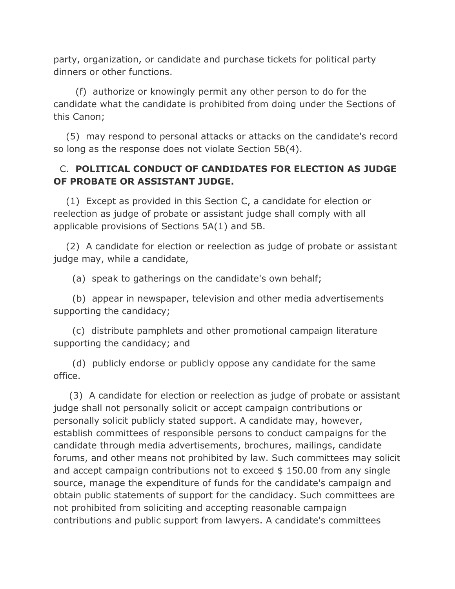party, organization, or candidate and purchase tickets for political party dinners or other functions.

 (f) authorize or knowingly permit any other person to do for the candidate what the candidate is prohibited from doing under the Sections of this Canon;

 (5) may respond to personal attacks or attacks on the candidate's record so long as the response does not violate Section 5B(4).

#### C. **POLITICAL CONDUCT OF CANDIDATES FOR ELECTION AS JUDGE OF PROBATE OR ASSISTANT JUDGE.**

 (1) Except as provided in this Section C, a candidate for election or reelection as judge of probate or assistant judge shall comply with all applicable provisions of Sections 5A(1) and 5B.

 (2) A candidate for election or reelection as judge of probate or assistant judge may, while a candidate,

(a) speak to gatherings on the candidate's own behalf;

 (b) appear in newspaper, television and other media advertisements supporting the candidacy;

 (c) distribute pamphlets and other promotional campaign literature supporting the candidacy; and

 (d) publicly endorse or publicly oppose any candidate for the same office.

 (3) A candidate for election or reelection as judge of probate or assistant judge shall not personally solicit or accept campaign contributions or personally solicit publicly stated support. A candidate may, however, establish committees of responsible persons to conduct campaigns for the candidate through media advertisements, brochures, mailings, candidate forums, and other means not prohibited by law. Such committees may solicit and accept campaign contributions not to exceed \$150.00 from any single source, manage the expenditure of funds for the candidate's campaign and obtain public statements of support for the candidacy. Such committees are not prohibited from soliciting and accepting reasonable campaign contributions and public support from lawyers. A candidate's committees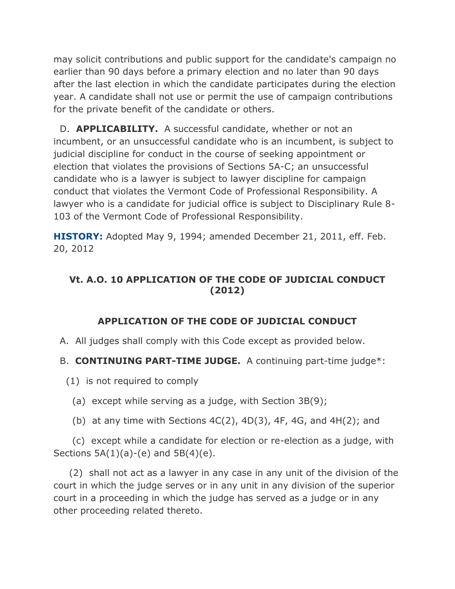may solicit contributions and public support for the candidate's campaign no earlier than 90 days before a primary election and no later than 90 days after the last election in which the candidate participates during the election year. A candidate shall not use or permit the use of campaign contributions for the private benefit of the candidate or others.

 D. **APPLICABILITY.** A successful candidate, whether or not an incumbent, or an unsuccessful candidate who is an incumbent, is subject to judicial discipline for conduct in the course of seeking appointment or election that violates the provisions of Sections 5A-C; an unsuccessful candidate who is a lawyer is subject to lawyer discipline for campaign conduct that violates the Vermont Code of Professional Responsibility. A lawyer who is a candidate for judicial office is subject to Disciplinary Rule 8- 103 of the Vermont Code of Professional Responsibility.

**HISTORY:** Adopted May 9, 1994; amended December 21, 2011, eff. Feb. 20, 2012

# **Vt. A.O. 10 APPLICATION OF THE CODE OF JUDICIAL CONDUCT (2012)**

# **APPLICATION OF THE CODE OF JUDICIAL CONDUCT**

- A. All judges shall comply with this Code except as provided below.
- B. **CONTINUING PART-TIME JUDGE.** A continuing part-time judge\*:
	- (1) is not required to comply
		- (a) except while serving as a judge, with Section 3B(9);
		- (b) at any time with Sections  $4C(2)$ ,  $4D(3)$ ,  $4F$ ,  $4G$ , and  $4H(2)$ ; and

 (c) except while a candidate for election or re-election as a judge, with Sections  $5A(1)(a)-(e)$  and  $5B(4)(e)$ .

 (2) shall not act as a lawyer in any case in any unit of the division of the court in which the judge serves or in any unit in any division of the superior court in a proceeding in which the judge has served as a judge or in any other proceeding related thereto.